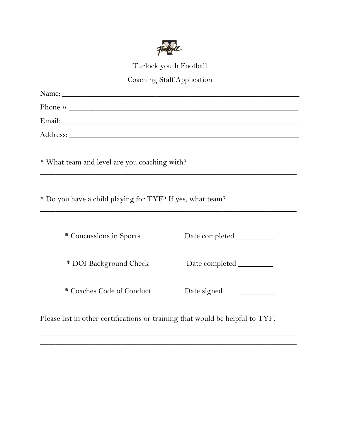

Turlock youth Football

## Coaching Staff Application

| * What team and level are you coaching with?                                  |  |
|-------------------------------------------------------------------------------|--|
| * Do you have a child playing for TYF? If yes, what team?                     |  |
| * Concussions in Sports                                                       |  |
| * DOJ Background Check                                                        |  |
| * Coaches Code of Conduct                                                     |  |
| Please list in other certifications or training that would be helpful to TYF. |  |

 $\overline{\phantom{a}}$  , and the contract of the contract of the contract of the contract of the contract of the contract of the contract of the contract of the contract of the contract of the contract of the contract of the contrac \_\_\_\_\_\_\_\_\_\_\_\_\_\_\_\_\_\_\_\_\_\_\_\_\_\_\_\_\_\_\_\_\_\_\_\_\_\_\_\_\_\_\_\_\_\_\_\_\_\_\_\_\_\_\_\_\_\_\_\_\_\_\_\_\_\_